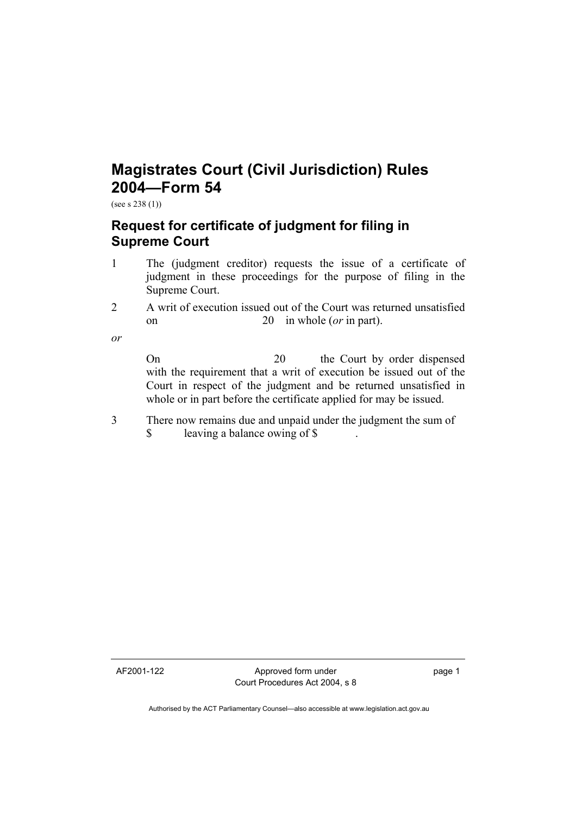## **Magistrates Court (Civil Jurisdiction) Rules 2004—Form 54**

(see s 238 (1))

## **Request for certificate of judgment for filing in Supreme Court**

- 1 The (judgment creditor) requests the issue of a certificate of judgment in these proceedings for the purpose of filing in the Supreme Court.
- 2 A writ of execution issued out of the Court was returned unsatisfied on 20 in whole (*or* in part).
- *or*

On 20 the Court by order dispensed with the requirement that a writ of execution be issued out of the Court in respect of the judgment and be returned unsatisfied in whole or in part before the certificate applied for may be issued.

3 There now remains due and unpaid under the judgment the sum of \$ leaving a balance owing of \$ .

AF2001-122 Approved form under Court Procedures Act 2004, s 8 page 1

Authorised by the ACT Parliamentary Counsel—also accessible at www.legislation.act.gov.au